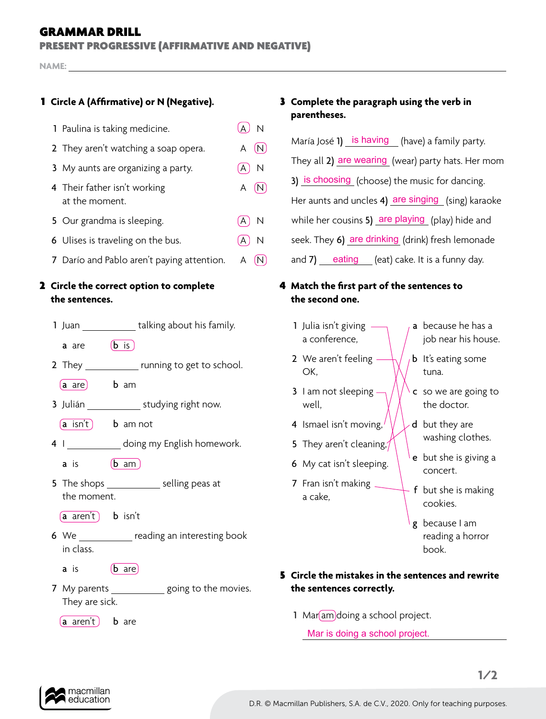## GRAMMAR DRILL

PRESENT PROGRESSIVE (AFFIRMATIVE AND NEGATIVE)

**NAME:**

| 1 Paulina is taking medicine.                  | $\overline{N}$               |
|------------------------------------------------|------------------------------|
| 2 They aren't watching a soap opera.           | (N)<br>A                     |
| 3 My aunts are organizing a party.             | $\mathsf{N}$<br>A            |
| 4 Their father isn't working<br>at the moment. | A<br>(N)                     |
| 5 Our grandma is sleeping.                     | $\overline{\mathsf{N}}$<br>A |
| 6 Ulises is traveling on the bus.              | N<br>А                       |
|                                                |                              |

7 Darío and Pablo aren't paying attention. A  $(N)$ 

#### 2 **Circle the correct option to complete the sentences.**

| talking about his family.<br>1 Juan |  |
|-------------------------------------|--|
|-------------------------------------|--|

**a** are  $\left(\mathbf{b}\right)$  is

- 2 They running to get to school.
	- (a are) b am
- 3 Julián \_\_\_\_\_\_\_\_\_\_\_\_\_ studying right now.
	- $\left(a \sin t\right)$  b am not
- 4 I \_\_\_\_\_\_\_\_\_\_\_\_ doing my English homework.
	- a is  $\sqrt{b}$  am
- 5 The shops selling peas at the moment.
	- $(a \text{ aren't})$  **b** isn't
- **6** We reading an interesting book in class.
	- **a** is  $\left(\mathbf{b}\right)$  are
- **7** My parents going to the movies. They are sick.

 $(a \text{ aren't})$  **b** are

# 1 **Circle A (Affirmative) or N (Negative).** 3 **Complete the paragraph using the verb in parentheses.**

María José 1) is having (have) a family party. They all 2) are wearing (wear) party hats. Her mom 3) is choosing (choose) the music for dancing. Her aunts and uncles 4) are singing (sing) karaoke while her cousins 5) are playing (play) hide and seek. They 6) are drinking (drink) fresh lemonade and 7) eating (eat) cake. It is a funny day.

#### 4 **Match the first part of the sentences to the second one.**

- 1 Julia isn't giving  $$ a conference,
- 2 We aren't feeling -OK,
- 3 I am not sleeping well,
- 4 Ismael isn't moving, $\prime$
- 5 They aren't cleaning, $\gamma$
- 6 My cat isn't sleeping.
- 7 Fran isn't making  $\overline{\phantom{a}}$ a cake,
- a because he has a job near his house.
- **b** It's eating some tuna.
- c so we are going to the doctor.
- d but they are washing clothes.
- e but she is giving a concert.
- f but she is making cookies.
- g because I am reading a horror book.

## 5 **Circle the mistakes in the sentences and rewrite the sentences correctly.**

1 Mar am doing a school project.

Mar is doing a school project.